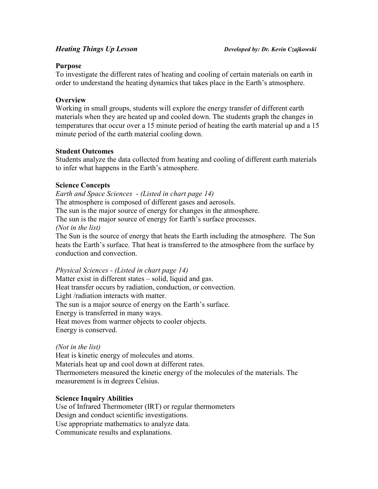## **Purpose**

To investigate the different rates of heating and cooling of certain materials on earth in order to understand the heating dynamics that takes place in the Earth's atmosphere.

# **Overview**

Working in small groups, students will explore the energy transfer of different earth materials when they are heated up and cooled down. The students graph the changes in temperatures that occur over a 15 minute period of heating the earth material up and a 15 minute period of the earth material cooling down.

# **Student Outcomes**

Students analyze the data collected from heating and cooling of different earth materials to infer what happens in the Earth's atmosphere.

# **Science Concepts**

*Earth and Space Sciences - (Listed in chart page 14)* The atmosphere is composed of different gases and aerosols. The sun is the major source of energy for changes in the atmosphere. The sun is the major source of energy for Earth's surface processes. *(Not in the list)* The Sun is the source of energy that heats the Earth including the atmosphere. The Sun

heats the Earth's surface. That heat is transferred to the atmosphere from the surface by conduction and convection.

*Physical Sciences - (Listed in chart page 14)* Matter exist in different states – solid, liquid and gas. Heat transfer occurs by radiation, conduction, or convection. Light /radiation interacts with matter. The sun is a major source of energy on the Earth's surface. Energy is transferred in many ways. Heat moves from warmer objects to cooler objects. Energy is conserved.

# *(Not in the list)*

Heat is kinetic energy of molecules and atoms. Materials heat up and cool down at different rates. Thermometers measured the kinetic energy of the molecules of the materials. The measurement is in degrees Celsius.

# **Science Inquiry Abilities**

Use of Infrared Thermometer (IRT) or regular thermometers Design and conduct scientific investigations. Use appropriate mathematics to analyze data. Communicate results and explanations.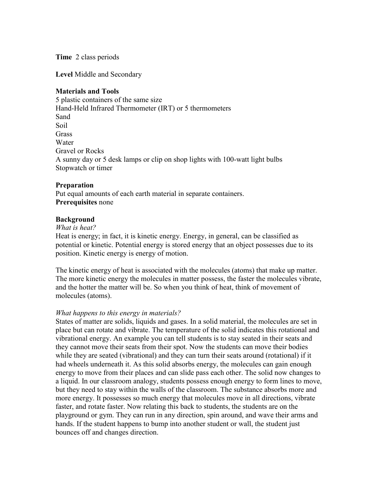**Time** 2 class periods

**Level** Middle and Secondary

# **Materials and Tools**

5 plastic containers of the same size Hand-Held Infrared Thermometer (IRT) or 5 thermometers Sand Soil **Grass Water** Gravel or Rocks A sunny day or 5 desk lamps or clip on shop lights with 100-watt light bulbs Stopwatch or timer

# **Preparation**

Put equal amounts of each earth material in separate containers. **Prerequisites** none

### **Background**

### *What is heat?*

Heat is energy; in fact, it is kinetic energy. Energy, in general, can be classified as potential or kinetic. Potential energy is stored energy that an object possesses due to its position. Kinetic energy is energy of motion.

The kinetic energy of heat is associated with the molecules (atoms) that make up matter. The more kinetic energy the molecules in matter possess, the faster the molecules vibrate, and the hotter the matter will be. So when you think of heat, think of movement of molecules (atoms).

#### *What happens to this energy in materials?*

States of matter are solids, liquids and gases. In a solid material, the molecules are set in place but can rotate and vibrate. The temperature of the solid indicates this rotational and vibrational energy. An example you can tell students is to stay seated in their seats and they cannot move their seats from their spot. Now the students can move their bodies while they are seated (vibrational) and they can turn their seats around (rotational) if it had wheels underneath it. As this solid absorbs energy, the molecules can gain enough energy to move from their places and can slide pass each other. The solid now changes to a liquid. In our classroom analogy, students possess enough energy to form lines to move, but they need to stay within the walls of the classroom. The substance absorbs more and more energy. It possesses so much energy that molecules move in all directions, vibrate faster, and rotate faster. Now relating this back to students, the students are on the playground or gym. They can run in any direction, spin around, and wave their arms and hands. If the student happens to bump into another student or wall, the student just bounces off and changes direction.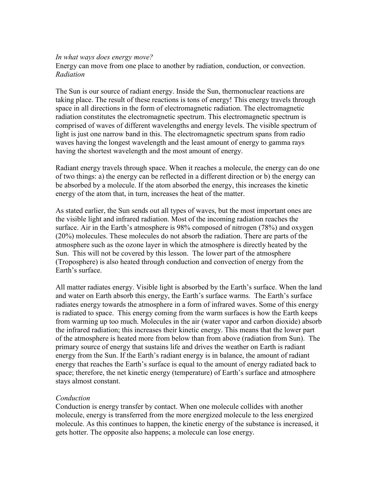#### *In what ways does energy move?*

Energy can move from one place to another by radiation, conduction, or convection. *Radiation*

The Sun is our source of radiant energy. Inside the Sun, thermonuclear reactions are taking place. The result of these reactions is tons of energy! This energy travels through space in all directions in the form of electromagnetic radiation. The electromagnetic radiation constitutes the electromagnetic spectrum. This electromagnetic spectrum is comprised of waves of different wavelengths and energy levels. The visible spectrum of light is just one narrow band in this. The electromagnetic spectrum spans from radio waves having the longest wavelength and the least amount of energy to gamma rays having the shortest wavelength and the most amount of energy.

Radiant energy travels through space. When it reaches a molecule, the energy can do one of two things: a) the energy can be reflected in a different direction or b) the energy can be absorbed by a molecule. If the atom absorbed the energy, this increases the kinetic energy of the atom that, in turn, increases the heat of the matter.

As stated earlier, the Sun sends out all types of waves, but the most important ones are the visible light and infrared radiation. Most of the incoming radiation reaches the surface. Air in the Earth's atmosphere is 98% composed of nitrogen (78%) and oxygen (20%) molecules. These molecules do not absorb the radiation. There are parts of the atmosphere such as the ozone layer in which the atmosphere is directly heated by the Sun. This will not be covered by this lesson. The lower part of the atmosphere (Troposphere) is also heated through conduction and convection of energy from the Earth's surface.

All matter radiates energy. Visible light is absorbed by the Earth's surface. When the land and water on Earth absorb this energy, the Earth's surface warms. The Earth's surface radiates energy towards the atmosphere in a form of infrared waves. Some of this energy is radiated to space. This energy coming from the warm surfaces is how the Earth keeps from warming up too much. Molecules in the air (water vapor and carbon dioxide) absorb the infrared radiation; this increases their kinetic energy. This means that the lower part of the atmosphere is heated more from below than from above (radiation from Sun). The primary source of energy that sustains life and drives the weather on Earth is radiant energy from the Sun. If the Earth's radiant energy is in balance, the amount of radiant energy that reaches the Earth's surface is equal to the amount of energy radiated back to space; therefore, the net kinetic energy (temperature) of Earth's surface and atmosphere stays almost constant.

# *Conduction*

Conduction is energy transfer by contact. When one molecule collides with another molecule, energy is transferred from the more energized molecule to the less energized molecule. As this continues to happen, the kinetic energy of the substance is increased, it gets hotter. The opposite also happens; a molecule can lose energy.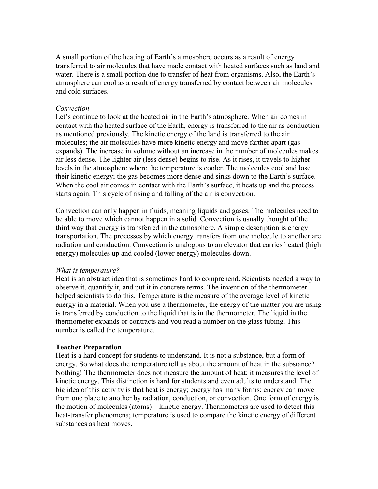A small portion of the heating of Earth's atmosphere occurs as a result of energy transferred to air molecules that have made contact with heated surfaces such as land and water. There is a small portion due to transfer of heat from organisms. Also, the Earth's atmosphere can cool as a result of energy transferred by contact between air molecules and cold surfaces.

#### *Convection*

Let's continue to look at the heated air in the Earth's atmosphere. When air comes in contact with the heated surface of the Earth, energy is transferred to the air as conduction as mentioned previously. The kinetic energy of the land is transferred to the air molecules; the air molecules have more kinetic energy and move farther apart (gas expands). The increase in volume without an increase in the number of molecules makes air less dense. The lighter air (less dense) begins to rise. As it rises, it travels to higher levels in the atmosphere where the temperature is cooler. The molecules cool and lose their kinetic energy; the gas becomes more dense and sinks down to the Earth's surface. When the cool air comes in contact with the Earth's surface, it heats up and the process starts again. This cycle of rising and falling of the air is convection.

Convection can only happen in fluids, meaning liquids and gases. The molecules need to be able to move which cannot happen in a solid. Convection is usually thought of the third way that energy is transferred in the atmosphere. A simple description is energy transportation. The processes by which energy transfers from one molecule to another are radiation and conduction. Convection is analogous to an elevator that carries heated (high energy) molecules up and cooled (lower energy) molecules down.

#### *What is temperature?*

Heat is an abstract idea that is sometimes hard to comprehend. Scientists needed a way to observe it, quantify it, and put it in concrete terms. The invention of the thermometer helped scientists to do this. Temperature is the measure of the average level of kinetic energy in a material. When you use a thermometer, the energy of the matter you are using is transferred by conduction to the liquid that is in the thermometer. The liquid in the thermometer expands or contracts and you read a number on the glass tubing. This number is called the temperature.

# **Teacher Preparation**

Heat is a hard concept for students to understand. It is not a substance, but a form of energy. So what does the temperature tell us about the amount of heat in the substance? Nothing! The thermometer does not measure the amount of heat; it measures the level of kinetic energy. This distinction is hard for students and even adults to understand. The big idea of this activity is that heat is energy; energy has many forms; energy can move from one place to another by radiation, conduction, or convection. One form of energy is the motion of molecules (atoms)—kinetic energy. Thermometers are used to detect this heat-transfer phenomena; temperature is used to compare the kinetic energy of different substances as heat moves.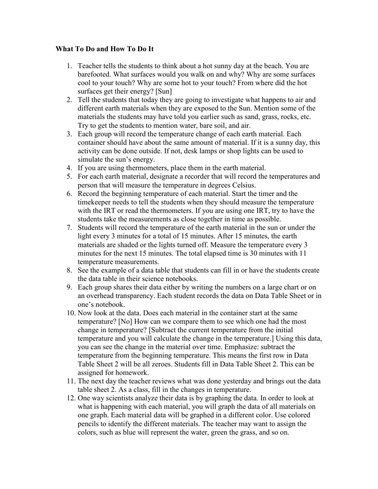# **What To Do and How To Do It**

- 1. Teacher tells the students to think about a hot sunny day at the beach. You are barefooted. What surfaces would you walk on and why? Why are some surfaces cool to your touch? Why are some hot to your touch? From where did the hot surfaces get their energy? [Sun]
- 2. Tell the students that today they are going to investigate what happens to air and different earth materials when they are exposed to the Sun. Mention some of the materials the students may have told you earlier such as sand, grass, rocks, etc. Try to get the students to mention water, bare soil, and air.
- 3. Each group will record the temperature change of each earth material. Each container should have about the same amount of material. If it is a sunny day, this activity can be done outside. If not, desk lamps or shop lights can be used to simulate the sun's energy.
- 4. If you are using thermometers, place them in the earth material.
- 5. For each earth material, designate a recorder that will record the temperatures and person that will measure the temperature in degrees Celsius.
- 6. Record the beginning temperature of each material. Start the timer and the timekeeper needs to tell the students when they should measure the temperature with the IRT or read the thermometers. If you are using one IRT, try to have the students take the measurements as close together in time as possible.
- 7. Students will record the temperature of the earth material in the sun or under the light every 3 minutes for a total of 15 minutes. After 15 minutes, the earth materials are shaded or the lights turned off. Measure the temperature every 3 minutes for the next 15 minutes. The total elapsed time is 30 minutes with 11 temperature measurements.
- 8. See the example of a data table that students can fill in or have the students create the data table in their science notebooks.
- 9. Each group shares their data either by writing the numbers on a large chart or on an overhead transparency. Each student records the data on Data Table Sheet or in one's notebook.
- 10. Now look at the data. Does each material in the container start at the same temperature? [No] How can we compare them to see which one had the most change in temperature? [Subtract the current temperature from the initial temperature and you will calculate the change in the temperature.] Using this data, you can see the change in the material over time. Emphasize: subtract the temperature from the beginning temperature. This means the first row in Data Table Sheet 2 will be all zeroes. Students fill in Data Table Sheet 2. This can be assigned for homework.
- 11. The next day the teacher reviews what was done yesterday and brings out the data table sheet 2. As a class, fill in the changes in temperature.
- 12. One way scientists analyze their data is by graphing the data. In order to look at what is happening with each material, you will graph the data of all materials on one graph. Each material data will be graphed in a different color. Use colored pencils to identify the different materials. The teacher may want to assign the colors, such as blue will represent the water, green the grass, and so on.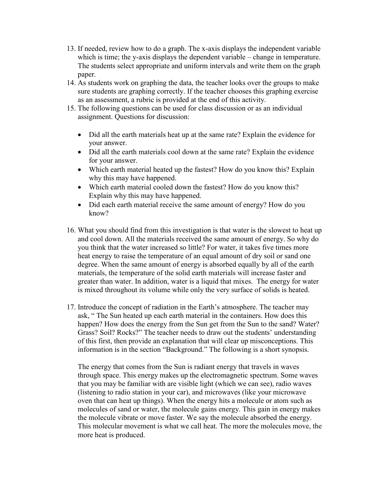- 13. If needed, review how to do a graph. The x-axis displays the independent variable which is time; the y-axis displays the dependent variable – change in temperature. The students select appropriate and uniform intervals and write them on the graph paper.
- 14. As students work on graphing the data, the teacher looks over the groups to make sure students are graphing correctly. If the teacher chooses this graphing exercise as an assessment, a rubric is provided at the end of this activity.
- 15. The following questions can be used for class discussion or as an individual assignment. Questions for discussion:
	- Did all the earth materials heat up at the same rate? Explain the evidence for your answer.
	- Did all the earth materials cool down at the same rate? Explain the evidence for your answer.
	- Which earth material heated up the fastest? How do you know this? Explain why this may have happened.
	- Which earth material cooled down the fastest? How do you know this? Explain why this may have happened.
	- Did each earth material receive the same amount of energy? How do you know?
- 16. What you should find from this investigation is that water is the slowest to heat up and cool down. All the materials received the same amount of energy. So why do you think that the water increased so little? For water, it takes five times more heat energy to raise the temperature of an equal amount of dry soil or sand one degree. When the same amount of energy is absorbed equally by all of the earth materials, the temperature of the solid earth materials will increase faster and greater than water. In addition, water is a liquid that mixes. The energy for water is mixed throughout its volume while only the very surface of solids is heated.
- 17. Introduce the concept of radiation in the Earth's atmosphere. The teacher may ask, "The Sun heated up each earth material in the containers. How does this happen? How does the energy from the Sun get from the Sun to the sand? Water? Grass? Soil? Rocks?" The teacher needs to draw out the students' understanding of this first, then provide an explanation that will clear up misconceptions. This information is in the section "Background." The following is a short synopsis.

The energy that comes from the Sun is radiant energy that travels in waves through space. This energy makes up the electromagnetic spectrum. Some waves that you may be familiar with are visible light (which we can see), radio waves (listening to radio station in your car), and microwaves (like your microwave oven that can heat up things). When the energy hits a molecule or atom such as molecules of sand or water, the molecule gains energy. This gain in energy makes the molecule vibrate or move faster. We say the molecule absorbed the energy. This molecular movement is what we call heat. The more the molecules move, the more heat is produced.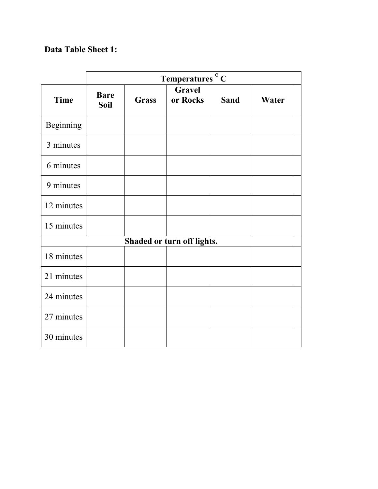# **Data Table Sheet 1:**

|                            | Temperatures <sup>o</sup> C |              |                           |             |       |
|----------------------------|-----------------------------|--------------|---------------------------|-------------|-------|
| <b>Time</b>                | <b>Bare</b><br><b>Soil</b>  | <b>Grass</b> | <b>Gravel</b><br>or Rocks | <b>Sand</b> | Water |
| Beginning                  |                             |              |                           |             |       |
| 3 minutes                  |                             |              |                           |             |       |
| 6 minutes                  |                             |              |                           |             |       |
| 9 minutes                  |                             |              |                           |             |       |
| 12 minutes                 |                             |              |                           |             |       |
| 15 minutes                 |                             |              |                           |             |       |
| Shaded or turn off lights. |                             |              |                           |             |       |
| 18 minutes                 |                             |              |                           |             |       |
| 21 minutes                 |                             |              |                           |             |       |
| 24 minutes                 |                             |              |                           |             |       |
| 27 minutes                 |                             |              |                           |             |       |
| 30 minutes                 |                             |              |                           |             |       |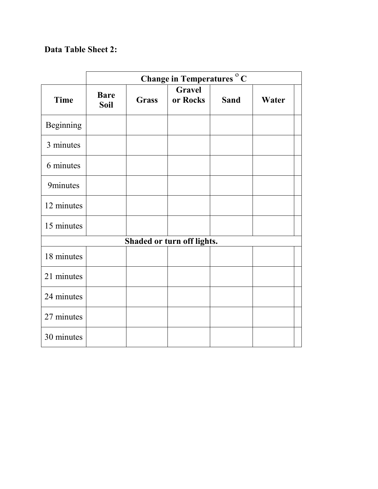# **Data Table Sheet 2:**

|                            | Change in Temperatures <sup>o</sup> C |              |                           |             |       |
|----------------------------|---------------------------------------|--------------|---------------------------|-------------|-------|
| <b>Time</b>                | <b>Bare</b><br><b>Soil</b>            | <b>Grass</b> | <b>Gravel</b><br>or Rocks | <b>Sand</b> | Water |
| Beginning                  |                                       |              |                           |             |       |
| 3 minutes                  |                                       |              |                           |             |       |
| 6 minutes                  |                                       |              |                           |             |       |
| 9minutes                   |                                       |              |                           |             |       |
| 12 minutes                 |                                       |              |                           |             |       |
| 15 minutes                 |                                       |              |                           |             |       |
| Shaded or turn off lights. |                                       |              |                           |             |       |
| 18 minutes                 |                                       |              |                           |             |       |
| 21 minutes                 |                                       |              |                           |             |       |
| 24 minutes                 |                                       |              |                           |             |       |
| 27 minutes                 |                                       |              |                           |             |       |
| 30 minutes                 |                                       |              |                           |             |       |